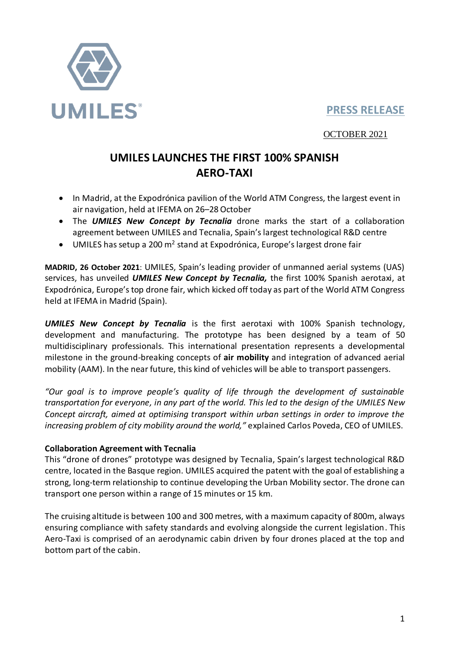

## **PRESS RELEASE**

OCTOBER 2021

# **UMILES LAUNCHES THE FIRST 100% SPANISH AERO-TAXI**

- In Madrid, at the Expodrónica pavilion of the World ATM Congress, the largest event in air navigation, held at IFEMA on 26–28October
- The *UMILES New Concept by Tecnalia* drone marks the start of a collaboration agreement between UMILES and Tecnalia, Spain's largest technological R&D centre
- $\bullet$  UMILES has setup a 200 m<sup>2</sup> stand at Expodrónica, Europe's largest drone fair

**MADRID, 26 October 2021**: UMILES, Spain's leading provider of unmanned aerial systems (UAS) services, has unveiled *UMILES New Concept by Tecnalia,* the first 100% Spanish aerotaxi, at Expodrónica, Europe's top drone fair, which kicked off today as part of the World ATM Congress held at IFEMA in Madrid (Spain).

*UMILES New Concept by Tecnalia* is the first aerotaxi with 100% Spanish technology, development and manufacturing. The prototype has been designed by a team of 50 multidisciplinary professionals. This international presentation represents a developmental milestone in the ground-breaking concepts of **air mobility** and integration of advanced aerial mobility (AAM). In the near future, this kind of vehicles will be able to transport passengers.

*"Our goal is to improve people's quality of life through the development of sustainable transportation for everyone, in any part of the world. This led to the design of the UMILES New Concept aircraft, aimed at optimising transport within urban settings in order to improve the increasing problem of city mobility around the world,"* explained Carlos Poveda, CEO of UMILES.

### **Collaboration Agreement with Tecnalia**

This "drone of drones" prototype was designed by Tecnalia, Spain's largest technological R&D centre, located in the Basque region. UMILES acquired the patent with the goal of establishing a strong, long-term relationship to continue developing the Urban Mobility sector. The drone can transport one person within a range of 15 minutes or 15 km.

The cruising altitude is between 100 and 300 metres, with a maximum capacity of 800m, always ensuring compliance with safety standards and evolving alongside the current legislation. This Aero-Taxi is comprised of an aerodynamic cabin driven by four drones placed at the top and bottom part of the cabin.